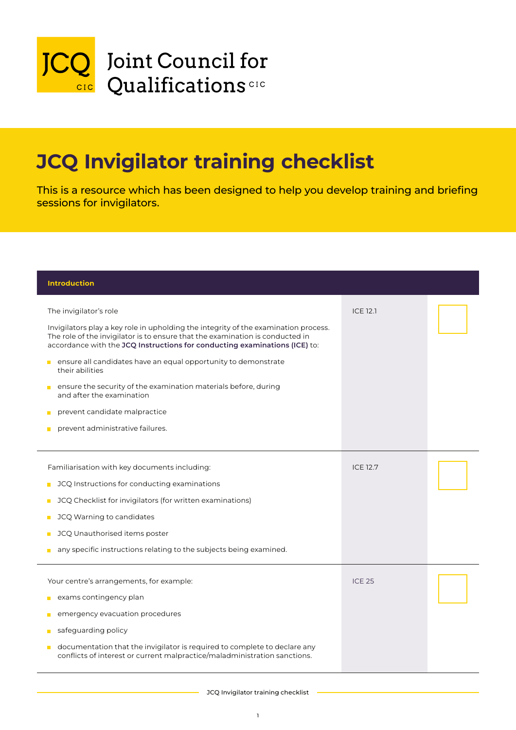

## JCQ Invigilator training checklist

This is a resource which has been designed to help you develop training and briefing sessions for invigilators.

 $\mathcal{I}(\mathcal{I})$  is the conductions for conducting examinations for conducting examinations  $\mathcal{I}(\mathcal{I})$ 

| <b>Introduction</b>                                                                                                                                                                                                                                                                                                                                                                                                                                                                                                                                   |                 |  |
|-------------------------------------------------------------------------------------------------------------------------------------------------------------------------------------------------------------------------------------------------------------------------------------------------------------------------------------------------------------------------------------------------------------------------------------------------------------------------------------------------------------------------------------------------------|-----------------|--|
| The invigilator's role<br>Invigilators play a key role in upholding the integrity of the examination process.<br>The role of the invigilator is to ensure that the examination is conducted in<br>accordance with the JCQ Instructions for conducting examinations (ICE) to:<br>ensure all candidates have an equal opportunity to demonstrate<br>П<br>their abilities<br>ensure the security of the examination materials before, during<br>П<br>and after the examination<br>prevent candidate malpractice<br>П<br>prevent administrative failures. | <b>ICE 12.1</b> |  |
| Familiarisation with key documents including:<br>JCQ Instructions for conducting examinations<br>П<br>JCQ Checklist for invigilators (for written examinations)<br>П<br>JCQ Warning to candidates<br>П<br>JCQ Unauthorised items poster<br>П<br>any specific instructions relating to the subjects being examined.                                                                                                                                                                                                                                    | <b>ICE 12.7</b> |  |
| Your centre's arrangements, for example:<br>exams contingency plan<br>$\blacksquare$<br>emergency evacuation procedures<br>П<br>safeguarding policy<br>П<br>documentation that the invigilator is required to complete to declare any<br>$\blacksquare$<br>conflicts of interest or current malpractice/maladministration sanctions.                                                                                                                                                                                                                  | <b>ICE 25</b>   |  |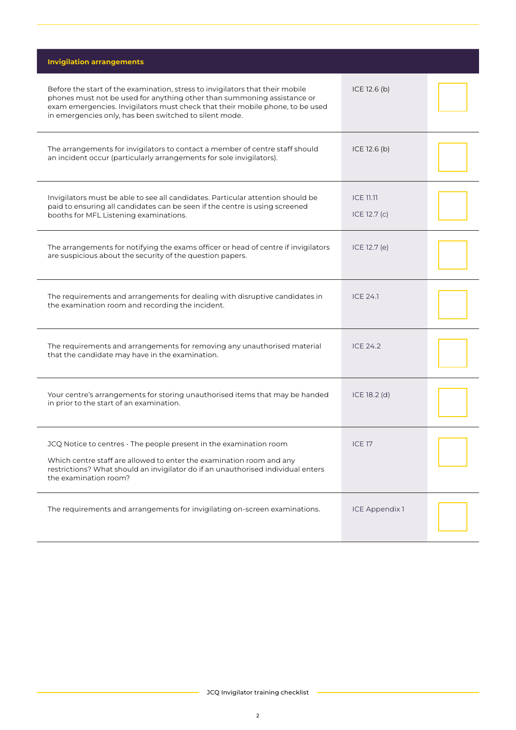| <b>Invigilation arrangements</b>                                                                                                                                                                                                                                                                    |                                  |  |
|-----------------------------------------------------------------------------------------------------------------------------------------------------------------------------------------------------------------------------------------------------------------------------------------------------|----------------------------------|--|
| Before the start of the examination, stress to invigilators that their mobile<br>phones must not be used for anything other than summoning assistance or<br>exam emergencies. Invigilators must check that their mobile phone, to be used<br>in emergencies only, has been switched to silent mode. | ICE 12.6 (b)                     |  |
| The arrangements for invigilators to contact a member of centre staff should<br>an incident occur (particularly arrangements for sole invigilators).                                                                                                                                                | ICE 12.6 (b)                     |  |
| Invigilators must be able to see all candidates. Particular attention should be<br>paid to ensuring all candidates can be seen if the centre is using screened<br>booths for MFL Listening examinations.                                                                                            | <b>ICE 11.11</b><br>ICE 12.7 (c) |  |
| The arrangements for notifying the exams officer or head of centre if invigilators<br>are suspicious about the security of the question papers.                                                                                                                                                     | ICE 12.7 (e)                     |  |
| The requirements and arrangements for dealing with disruptive candidates in<br>the examination room and recording the incident.                                                                                                                                                                     | <b>ICE 24.1</b>                  |  |
| The requirements and arrangements for removing any unauthorised material<br>that the candidate may have in the examination.                                                                                                                                                                         | <b>ICE 24.2</b>                  |  |
| Your centre's arrangements for storing unauthorised items that may be handed<br>in prior to the start of an examination.                                                                                                                                                                            | $ICE 18.2$ (d)                   |  |
| JCQ Notice to centres - The people present in the examination room<br>Which centre staff are allowed to enter the examination room and any<br>restrictions? What should an invigilator do if an unauthorised individual enters<br>the examination room?                                             | <b>ICE 17</b>                    |  |
| The requirements and arrangements for invigilating on-screen examinations.                                                                                                                                                                                                                          | <b>ICE Appendix 1</b>            |  |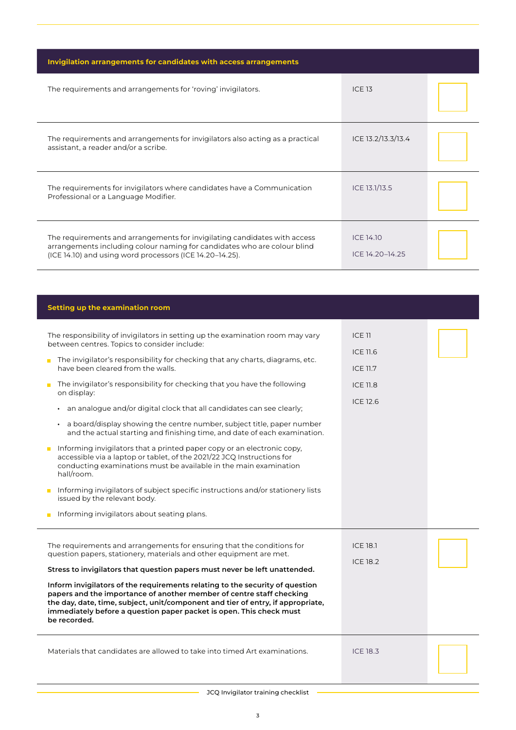| Invigilation arrangements for candidates with access arrangements                                                                                                                                                 |                                     |  |
|-------------------------------------------------------------------------------------------------------------------------------------------------------------------------------------------------------------------|-------------------------------------|--|
| The requirements and arrangements for 'roving' invigilators.                                                                                                                                                      | <b>ICE 13</b>                       |  |
| The requirements and arrangements for invigilators also acting as a practical<br>assistant, a reader and/or a scribe.                                                                                             | ICE 13.2/13.3/13.4                  |  |
| The requirements for invigilators where candidates have a Communication<br>Professional or a Language Modifier.                                                                                                   | ICE 13.1/13.5                       |  |
| The requirements and arrangements for invigilating candidates with access<br>arrangements including colour naming for candidates who are colour blind<br>(ICE 14.10) and using word processors (ICE 14.20-14.25). | <b>ICE 14.10</b><br>ICE 14.20-14.25 |  |
|                                                                                                                                                                                                                   |                                     |  |
| Setting up the examination room                                                                                                                                                                                   |                                     |  |
|                                                                                                                                                                                                                   |                                     |  |

| The responsibility of invigilators in setting up the examination room may vary<br>between centres. Topics to consider include: | ICE 11          |
|--------------------------------------------------------------------------------------------------------------------------------|-----------------|
| The invigilator's responsibility for checking that any charts, diagrams, etc.                                                  | ICE 11.6        |
| have been cleared from the walls.                                                                                              | <b>ICE 11.7</b> |
| The invigilator's responsibility for checking that you have the following<br>on display:                                       | <b>ICE 11.8</b> |
| an analogue and/or digital clock that all candidates can see clearly;                                                          | ICE 12.6        |

- a board/display showing the centre number, subject title, paper number and the actual starting and finishing time, and date of each examination.
- $\blacksquare$  Informing invigilators that a printed paper copy or an electronic copy, accessible via a laptop or tablet, of the 2021/22 JCQ Instructions for conducting examinations must be available in the main examination hall/room.
- **Informing invigilators of subject specific instructions and/or stationery lists** issued by the relevant body.
- **Informing invigilators about seating plans.**

| The requirements and arrangements for ensuring that the conditions for                                                                                                                                                                                                                                                         | <b>ICE 18.1</b> |  |
|--------------------------------------------------------------------------------------------------------------------------------------------------------------------------------------------------------------------------------------------------------------------------------------------------------------------------------|-----------------|--|
| question papers, stationery, materials and other equipment are met.<br>Stress to invigilators that question papers must never be left unattended.                                                                                                                                                                              | <b>ICE 18.2</b> |  |
| Inform invigilators of the requirements relating to the security of question<br>papers and the importance of another member of centre staff checking<br>the day, date, time, subject, unit/component and tier of entry, if appropriate,<br>immediately before a question paper packet is open. This check must<br>be recorded. |                 |  |
| Materials that candidates are allowed to take into timed Art examinations.                                                                                                                                                                                                                                                     | <b>ICE 18.3</b> |  |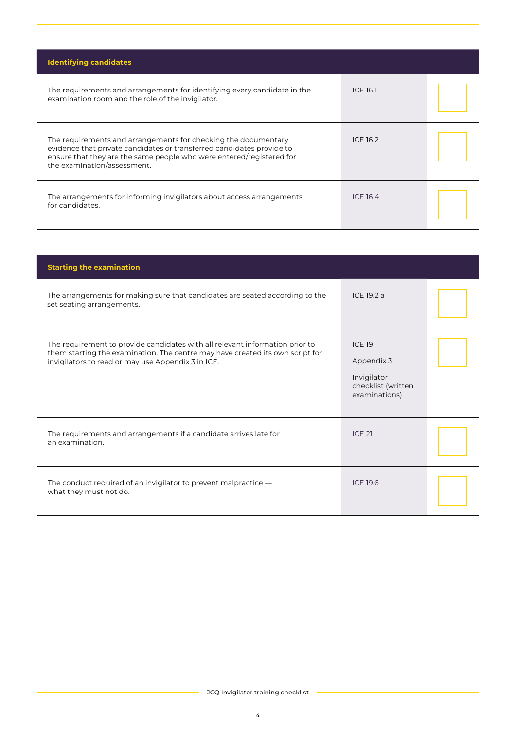| <b>Identifying candidates</b>                                                                                                                                                                                                                  |                 |  |
|------------------------------------------------------------------------------------------------------------------------------------------------------------------------------------------------------------------------------------------------|-----------------|--|
| The requirements and arrangements for identifying every candidate in the<br>examination room and the role of the invigilator.                                                                                                                  | <b>ICE 16.1</b> |  |
| The requirements and arrangements for checking the documentary<br>evidence that private candidates or transferred candidates provide to<br>ensure that they are the same people who were entered/registered for<br>the examination/assessment. | ICE 16.2        |  |
| The arrangements for informing invigilators about access arrangements<br>for candidates.                                                                                                                                                       | ICE 16.4        |  |

| <b>Starting the examination</b>                                                                                                                                                                                     |                                                                                   |  |
|---------------------------------------------------------------------------------------------------------------------------------------------------------------------------------------------------------------------|-----------------------------------------------------------------------------------|--|
| The arrangements for making sure that candidates are seated according to the<br>set seating arrangements.                                                                                                           | ICE 19.2 a                                                                        |  |
| The requirement to provide candidates with all relevant information prior to<br>them starting the examination. The centre may have created its own script for<br>invigilators to read or may use Appendix 3 in ICE. | <b>ICE 19</b><br>Appendix 3<br>Invigilator<br>checklist (written<br>examinations) |  |
| The requirements and arrangements if a candidate arrives late for<br>an examination.                                                                                                                                | <b>ICE 21</b>                                                                     |  |
| The conduct required of an invigilator to prevent malpractice —<br>what they must not do.                                                                                                                           | <b>ICE 19.6</b>                                                                   |  |

JCQ Invigilator training checklist

ο.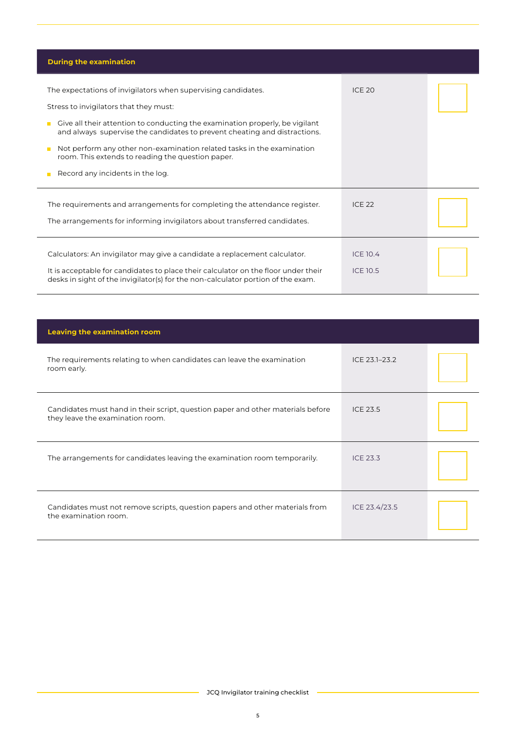| <b>During the examination</b>                                                                                                                                                                                                                                                                                                                                                                                                                          |                                    |  |
|--------------------------------------------------------------------------------------------------------------------------------------------------------------------------------------------------------------------------------------------------------------------------------------------------------------------------------------------------------------------------------------------------------------------------------------------------------|------------------------------------|--|
| The expectations of invigilators when supervising candidates.<br>Stress to invigilators that they must:<br>Give all their attention to conducting the examination properly, be vigilant<br>П<br>and always supervise the candidates to prevent cheating and distractions.<br>Not perform any other non-examination related tasks in the examination<br>П<br>room. This extends to reading the question paper.<br>Record any incidents in the log.<br>П | <b>ICE 20</b>                      |  |
| The requirements and arrangements for completing the attendance register.<br>The arrangements for informing invigilators about transferred candidates.                                                                                                                                                                                                                                                                                                 | <b>ICE 22</b>                      |  |
| Calculators: An invigilator may give a candidate a replacement calculator.<br>It is acceptable for candidates to place their calculator on the floor under their<br>desks in sight of the invigilator(s) for the non-calculator portion of the exam.                                                                                                                                                                                                   | <b>ICE 10.4</b><br><b>ICE 10.5</b> |  |

l,

| <b>Leaving the examination room</b>                                                                                 |                 |  |
|---------------------------------------------------------------------------------------------------------------------|-----------------|--|
| The requirements relating to when candidates can leave the examination<br>room early.                               | ICE 23.1-23.2   |  |
| Candidates must hand in their script, question paper and other materials before<br>they leave the examination room. | ICE 23.5        |  |
| The arrangements for candidates leaving the examination room temporarily.                                           | <b>ICE 23.3</b> |  |
| Candidates must not remove scripts, question papers and other materials from<br>the examination room.               | ICE 23.4/23.5   |  |

- JCQ Invigilator training checklist -